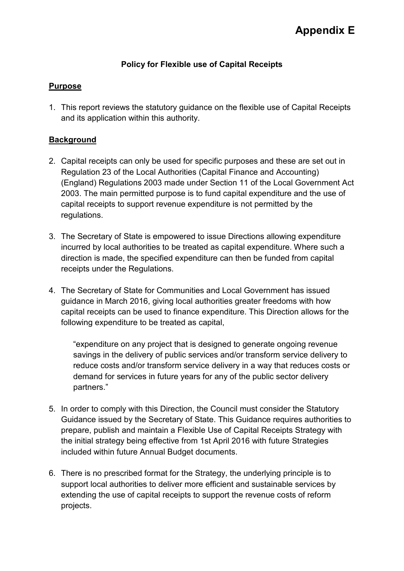# **Policy for Flexible use of Capital Receipts**

## **Purpose**

1. This report reviews the statutory guidance on the flexible use of Capital Receipts and its application within this authority.

## **Background**

- 2. Capital receipts can only be used for specific purposes and these are set out in Regulation 23 of the Local Authorities (Capital Finance and Accounting) (England) Regulations 2003 made under Section 11 of the Local Government Act 2003. The main permitted purpose is to fund capital expenditure and the use of capital receipts to support revenue expenditure is not permitted by the regulations.
- 3. The Secretary of State is empowered to issue Directions allowing expenditure incurred by local authorities to be treated as capital expenditure. Where such a direction is made, the specified expenditure can then be funded from capital receipts under the Regulations.
- 4. The Secretary of State for Communities and Local Government has issued guidance in March 2016, giving local authorities greater freedoms with how capital receipts can be used to finance expenditure. This Direction allows for the following expenditure to be treated as capital,

"expenditure on any project that is designed to generate ongoing revenue savings in the delivery of public services and/or transform service delivery to reduce costs and/or transform service delivery in a way that reduces costs or demand for services in future years for any of the public sector delivery partners."

- 5. In order to comply with this Direction, the Council must consider the Statutory Guidance issued by the Secretary of State. This Guidance requires authorities to prepare, publish and maintain a Flexible Use of Capital Receipts Strategy with the initial strategy being effective from 1st April 2016 with future Strategies included within future Annual Budget documents.
- 6. There is no prescribed format for the Strategy, the underlying principle is to support local authorities to deliver more efficient and sustainable services by extending the use of capital receipts to support the revenue costs of reform projects.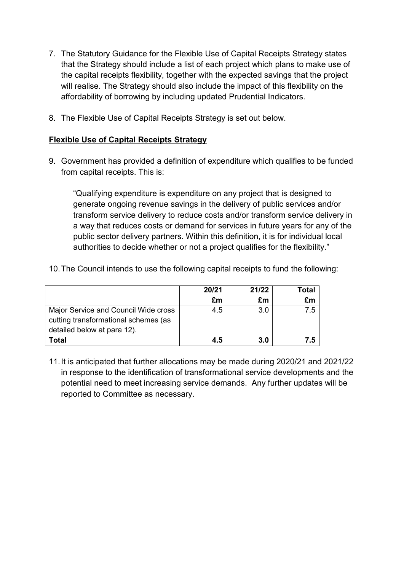- 7. The Statutory Guidance for the Flexible Use of Capital Receipts Strategy states that the Strategy should include a list of each project which plans to make use of the capital receipts flexibility, together with the expected savings that the project will realise. The Strategy should also include the impact of this flexibility on the affordability of borrowing by including updated Prudential Indicators.
- 8. The Flexible Use of Capital Receipts Strategy is set out below.

### **Flexible Use of Capital Receipts Strategy**

9. Government has provided a definition of expenditure which qualifies to be funded from capital receipts. This is:

"Qualifying expenditure is expenditure on any project that is designed to generate ongoing revenue savings in the delivery of public services and/or transform service delivery to reduce costs and/or transform service delivery in a way that reduces costs or demand for services in future years for any of the public sector delivery partners. Within this definition, it is for individual local authorities to decide whether or not a project qualifies for the flexibility."

| 10. The Council intends to use the following capital receipts to fund the following: |  |  |
|--------------------------------------------------------------------------------------|--|--|
|--------------------------------------------------------------------------------------|--|--|

|                                                                              | 20/21 | 21/22 | Total |
|------------------------------------------------------------------------------|-------|-------|-------|
|                                                                              | £m    | £m    | £m    |
| Major Service and Council Wide cross<br>cutting transformational schemes (as | 4.5   | 3.0   | 7.5   |
| detailed below at para 12).                                                  |       |       |       |
| Total                                                                        | 4.5   | 3.0   | 7.5   |

11. It is anticipated that further allocations may be made during 2020/21 and 2021/22 in response to the identification of transformational service developments and the potential need to meet increasing service demands. Any further updates will be reported to Committee as necessary.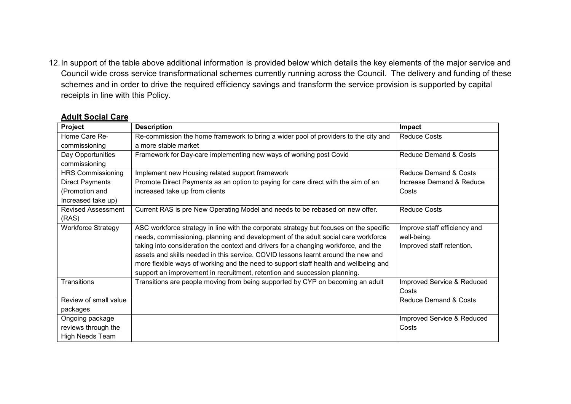12. In support of the table above additional information is provided below which details the key elements of the major service and Council wide cross service transformational schemes currently running across the Council. The delivery and funding of these schemes and in order to drive the required efficiency savings and transform the service provision is supported by capital receipts in line with this Policy.

#### **Adult Social Care**

| Project                   | <b>Description</b>                                                                     | Impact                       |
|---------------------------|----------------------------------------------------------------------------------------|------------------------------|
| Home Care Re-             | Re-commission the home framework to bring a wider pool of providers to the city and    | <b>Reduce Costs</b>          |
| commissioning             | a more stable market                                                                   |                              |
| Day Opportunities         | Framework for Day-care implementing new ways of working post Covid                     | Reduce Demand & Costs        |
| commissioning             |                                                                                        |                              |
| <b>HRS Commissioning</b>  | Implement new Housing related support framework                                        | Reduce Demand & Costs        |
| <b>Direct Payments</b>    | Promote Direct Payments as an option to paying for care direct with the aim of an      | Increase Demand & Reduce     |
| (Promotion and            | increased take up from clients                                                         | Costs                        |
| Increased take up)        |                                                                                        |                              |
| <b>Revised Assessment</b> | Current RAS is pre New Operating Model and needs to be rebased on new offer.           | <b>Reduce Costs</b>          |
| (RAS)                     |                                                                                        |                              |
| <b>Workforce Strategy</b> | ASC workforce strategy in line with the corporate strategy but focuses on the specific | Improve staff efficiency and |
|                           | needs, commissioning, planning and development of the adult social care workforce      | well-being.                  |
|                           | taking into consideration the context and drivers for a changing workforce, and the    | Improved staff retention.    |
|                           | assets and skills needed in this service. COVID lessons learnt around the new and      |                              |
|                           | more flexible ways of working and the need to support staff health and wellbeing and   |                              |
|                           | support an improvement in recruitment, retention and succession planning.              |                              |
| Transitions               | Transitions are people moving from being supported by CYP on becoming an adult         | Improved Service & Reduced   |
|                           |                                                                                        | Costs                        |
| Review of small value     |                                                                                        | Reduce Demand & Costs        |
| packages                  |                                                                                        |                              |
| Ongoing package           |                                                                                        | Improved Service & Reduced   |
| reviews through the       |                                                                                        | Costs                        |
| High Needs Team           |                                                                                        |                              |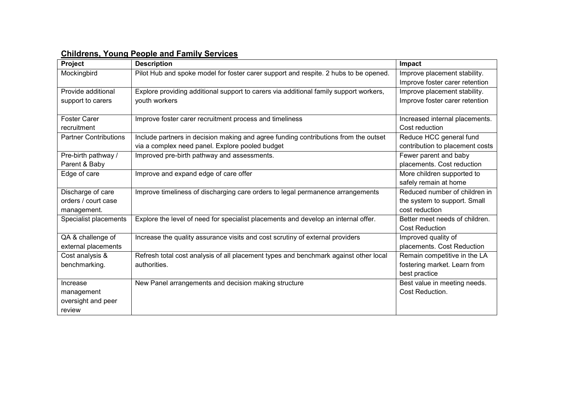| Project                      | <b>Description</b>                                                                    | Impact                          |
|------------------------------|---------------------------------------------------------------------------------------|---------------------------------|
| Mockingbird                  | Pilot Hub and spoke model for foster carer support and respite. 2 hubs to be opened.  | Improve placement stability.    |
|                              |                                                                                       | Improve foster carer retention  |
| Provide additional           | Explore providing additional support to carers via additional family support workers, | Improve placement stability.    |
| support to carers            | youth workers                                                                         | Improve foster carer retention  |
|                              |                                                                                       |                                 |
| <b>Foster Carer</b>          | Improve foster carer recruitment process and timeliness                               | Increased internal placements.  |
| recruitment                  |                                                                                       | Cost reduction                  |
| <b>Partner Contributions</b> | Include partners in decision making and agree funding contributions from the outset   | Reduce HCC general fund         |
|                              | via a complex need panel. Explore pooled budget                                       | contribution to placement costs |
| Pre-birth pathway /          | Improved pre-birth pathway and assessments.                                           | Fewer parent and baby           |
| Parent & Baby                |                                                                                       | placements. Cost reduction      |
| Edge of care                 | Improve and expand edge of care offer                                                 | More children supported to      |
|                              |                                                                                       | safely remain at home           |
| Discharge of care            | Improve timeliness of discharging care orders to legal permanence arrangements        | Reduced number of children in   |
| orders / court case          |                                                                                       | the system to support. Small    |
| management.                  |                                                                                       | cost reduction                  |
| Specialist placements        | Explore the level of need for specialist placements and develop an internal offer.    | Better meet needs of children.  |
|                              |                                                                                       | <b>Cost Reduction</b>           |
| QA & challenge of            | Increase the quality assurance visits and cost scrutiny of external providers         | Improved quality of             |
| external placements          |                                                                                       | placements. Cost Reduction      |
| Cost analysis &              | Refresh total cost analysis of all placement types and benchmark against other local  | Remain competitive in the LA    |
| benchmarking.                | authorities.                                                                          | fostering market. Learn from    |
|                              |                                                                                       | best practice                   |
| Increase                     | New Panel arrangements and decision making structure                                  | Best value in meeting needs.    |
| management                   |                                                                                       | Cost Reduction.                 |
| oversight and peer           |                                                                                       |                                 |
| review                       |                                                                                       |                                 |

#### **Childrens, Young People and Family Services**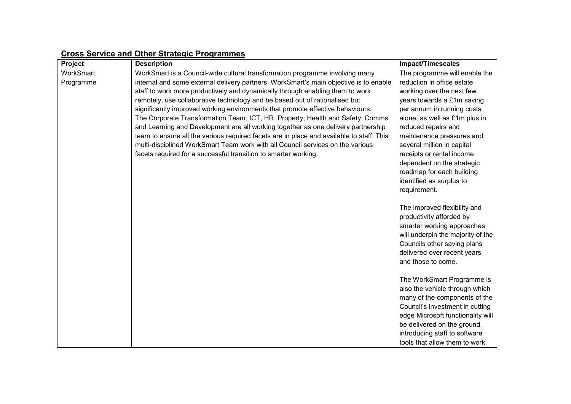| Project   | <b>Description</b>                                                                       | <b>Impact/Timescales</b>                                                                                                                                                                                                                                               |
|-----------|------------------------------------------------------------------------------------------|------------------------------------------------------------------------------------------------------------------------------------------------------------------------------------------------------------------------------------------------------------------------|
| WorkSmart | WorkSmart is a Council-wide cultural transformation programme involving many             | The programme will enable the                                                                                                                                                                                                                                          |
| Programme | internal and some external delivery partners. WorkSmart's main objective is to enable    | reduction in office estate                                                                                                                                                                                                                                             |
|           | staff to work more productively and dynamically through enabling them to work            | working over the next few                                                                                                                                                                                                                                              |
|           | remotely, use collaborative technology and be based out of rationalised but              | years towards a £1m saving                                                                                                                                                                                                                                             |
|           | significantly improved working environments that promote effective behaviours.           | per annum in running costs                                                                                                                                                                                                                                             |
|           | The Corporate Transformation Team, ICT, HR, Property, Health and Safety, Comms           | alone, as well as £1m plus in                                                                                                                                                                                                                                          |
|           | and Learning and Development are all working together as one delivery partnership        | reduced repairs and                                                                                                                                                                                                                                                    |
|           | team to ensure all the various required facets are in place and available to staff. This | maintenance pressures and                                                                                                                                                                                                                                              |
|           | multi-disciplined WorkSmart Team work with all Council services on the various           | several million in capital                                                                                                                                                                                                                                             |
|           | facets required for a successful transition to smarter working.                          | receipts or rental income                                                                                                                                                                                                                                              |
|           |                                                                                          | dependent on the strategic                                                                                                                                                                                                                                             |
|           |                                                                                          | roadmap for each building                                                                                                                                                                                                                                              |
|           |                                                                                          | identified as surplus to                                                                                                                                                                                                                                               |
|           |                                                                                          | requirement.                                                                                                                                                                                                                                                           |
|           |                                                                                          | The improved flexibility and<br>productivity afforded by<br>smarter working approaches<br>will underpin the majority of the<br>Councils other saving plans<br>delivered over recent years<br>and those to come.                                                        |
|           |                                                                                          | The WorkSmart Programme is<br>also the vehicle through which<br>many of the components of the<br>Council's investment in cutting<br>edge Microsoft functionality will<br>be delivered on the ground,<br>introducing staff to software<br>tools that allow them to work |

### **Cross Service and Other Strategic Programmes**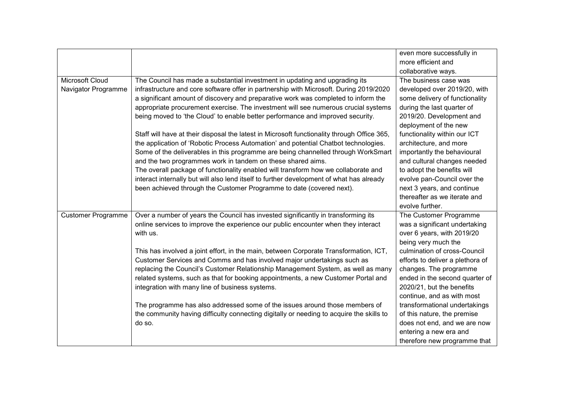|                           |                                                                                             | even more successfully in        |
|---------------------------|---------------------------------------------------------------------------------------------|----------------------------------|
|                           |                                                                                             | more efficient and               |
|                           |                                                                                             | collaborative ways.              |
| Microsoft Cloud           | The Council has made a substantial investment in updating and upgrading its                 | The business case was            |
| Navigator Programme       | infrastructure and core software offer in partnership with Microsoft. During 2019/2020      | developed over 2019/20, with     |
|                           | a significant amount of discovery and preparative work was completed to inform the          | some delivery of functionality   |
|                           | appropriate procurement exercise. The investment will see numerous crucial systems          | during the last quarter of       |
|                           | being moved to 'the Cloud' to enable better performance and improved security.              | 2019/20. Development and         |
|                           |                                                                                             | deployment of the new            |
|                           | Staff will have at their disposal the latest in Microsoft functionality through Office 365, | functionality within our ICT     |
|                           | the application of 'Robotic Process Automation' and potential Chatbot technologies.         | architecture, and more           |
|                           | Some of the deliverables in this programme are being channelled through WorkSmart           | importantly the behavioural      |
|                           | and the two programmes work in tandem on these shared aims.                                 | and cultural changes needed      |
|                           | The overall package of functionality enabled will transform how we collaborate and          | to adopt the benefits will       |
|                           | interact internally but will also lend itself to further development of what has already    | evolve pan-Council over the      |
|                           | been achieved through the Customer Programme to date (covered next).                        | next 3 years, and continue       |
|                           |                                                                                             | thereafter as we iterate and     |
|                           |                                                                                             | evolve further.                  |
| <b>Customer Programme</b> | Over a number of years the Council has invested significantly in transforming its           | The Customer Programme           |
|                           | online services to improve the experience our public encounter when they interact           | was a significant undertaking    |
|                           | with us.                                                                                    | over 6 years, with 2019/20       |
|                           |                                                                                             | being very much the              |
|                           | This has involved a joint effort, in the main, between Corporate Transformation, ICT,       | culmination of cross-Council     |
|                           | Customer Services and Comms and has involved major undertakings such as                     | efforts to deliver a plethora of |
|                           | replacing the Council's Customer Relationship Management System, as well as many            | changes. The programme           |
|                           | related systems, such as that for booking appointments, a new Customer Portal and           | ended in the second quarter of   |
|                           | integration with many line of business systems.                                             | 2020/21, but the benefits        |
|                           |                                                                                             | continue, and as with most       |
|                           | The programme has also addressed some of the issues around those members of                 | transformational undertakings    |
|                           | the community having difficulty connecting digitally or needing to acquire the skills to    | of this nature, the premise      |
|                           | do so.                                                                                      | does not end, and we are now     |
|                           |                                                                                             | entering a new era and           |
|                           |                                                                                             | therefore new programme that     |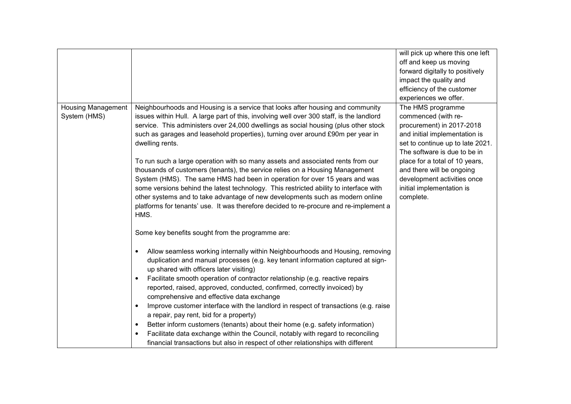|                           |                                                                                                  | will pick up where this one left |
|---------------------------|--------------------------------------------------------------------------------------------------|----------------------------------|
|                           |                                                                                                  | off and keep us moving           |
|                           |                                                                                                  | forward digitally to positively  |
|                           |                                                                                                  | impact the quality and           |
|                           |                                                                                                  | efficiency of the customer       |
|                           |                                                                                                  | experiences we offer.            |
| <b>Housing Management</b> | Neighbourhoods and Housing is a service that looks after housing and community                   | The HMS programme                |
| System (HMS)              | issues within Hull. A large part of this, involving well over 300 staff, is the landlord         | commenced (with re-              |
|                           | service. This administers over 24,000 dwellings as social housing (plus other stock              | procurement) in 2017-2018        |
|                           | such as garages and leasehold properties), turning over around £90m per year in                  | and initial implementation is    |
|                           | dwelling rents.                                                                                  | set to continue up to late 2021. |
|                           |                                                                                                  | The software is due to be in     |
|                           | To run such a large operation with so many assets and associated rents from our                  | place for a total of 10 years,   |
|                           | thousands of customers (tenants), the service relies on a Housing Management                     | and there will be ongoing        |
|                           | System (HMS). The same HMS had been in operation for over 15 years and was                       | development activities once      |
|                           | some versions behind the latest technology. This restricted ability to interface with            | initial implementation is        |
|                           | other systems and to take advantage of new developments such as modern online                    | complete.                        |
|                           | platforms for tenants' use. It was therefore decided to re-procure and re-implement a            |                                  |
|                           | HMS.                                                                                             |                                  |
|                           |                                                                                                  |                                  |
|                           | Some key benefits sought from the programme are:                                                 |                                  |
|                           |                                                                                                  |                                  |
|                           | Allow seamless working internally within Neighbourhoods and Housing, removing<br>$\bullet$       |                                  |
|                           | duplication and manual processes (e.g. key tenant information captured at sign-                  |                                  |
|                           | up shared with officers later visiting)                                                          |                                  |
|                           | Facilitate smooth operation of contractor relationship (e.g. reactive repairs<br>$\bullet$       |                                  |
|                           | reported, raised, approved, conducted, confirmed, correctly invoiced) by                         |                                  |
|                           | comprehensive and effective data exchange                                                        |                                  |
|                           | Improve customer interface with the landlord in respect of transactions (e.g. raise<br>$\bullet$ |                                  |
|                           | a repair, pay rent, bid for a property)                                                          |                                  |
|                           | Better inform customers (tenants) about their home (e.g. safety information)<br>$\bullet$        |                                  |
|                           | Facilitate data exchange within the Council, notably with regard to reconciling<br>$\bullet$     |                                  |
|                           | financial transactions but also in respect of other relationships with different                 |                                  |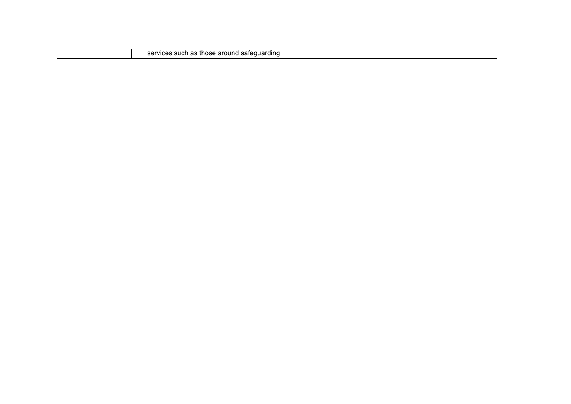|  | h as those around safequarding<br>services such |  |
|--|-------------------------------------------------|--|
|  |                                                 |  |